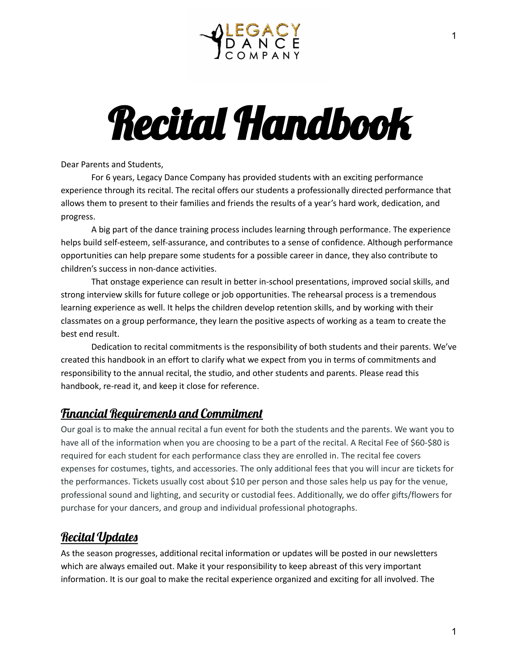

# Recital Handbook

Dear Parents and Students,

For 6 years, Legacy Dance Company has provided students with an exciting performance experience through its recital. The recital offers our students a professionally directed performance that allows them to present to their families and friends the results of a year's hard work, dedication, and progress.

A big part of the dance training process includes learning through performance. The experience helps build self-esteem, self-assurance, and contributes to a sense of confidence. Although performance opportunities can help prepare some students for a possible career in dance, they also contribute to children's success in non-dance activities.

That onstage experience can result in better in-school presentations, improved social skills, and strong interview skills for future college or job opportunities. The rehearsal process is a tremendous learning experience as well. It helps the children develop retention skills, and by working with their classmates on a group performance, they learn the positive aspects of working as a team to create the best end result.

Dedication to recital commitments is the responsibility of both students and their parents. We've created this handbook in an effort to clarify what we expect from you in terms of commitments and responsibility to the annual recital, the studio, and other students and parents. Please read this handbook, re-read it, and keep it close for reference.

## Financial Requirements and Commitment

Our goal is to make the annual recital a fun event for both the students and the parents. We want you to have all of the information when you are choosing to be a part of the recital. A Recital Fee of \$60-\$80 is required for each student for each performance class they are enrolled in. The recital fee covers expenses for costumes, tights, and accessories. The only additional fees that you will incur are tickets for the performances. Tickets usually cost about \$10 per person and those sales help us pay for the venue, professional sound and lighting, and security or custodial fees. Additionally, we do offer gifts/flowers for purchase for your dancers, and group and individual professional photographs.

## Recital Updates

As the season progresses, additional recital information or updates will be posted in our newsletters which are always emailed out. Make it your responsibility to keep abreast of this very important information. It is our goal to make the recital experience organized and exciting for all involved. The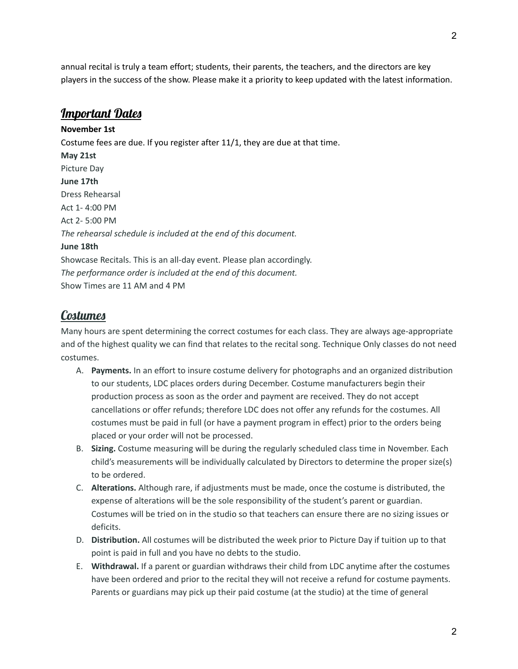annual recital is truly a team effort; students, their parents, the teachers, and the directors are key players in the success of the show. Please make it a priority to keep updated with the latest information.

#### Important Dates

**November 1st** Costume fees are due. If you register after 11/1, they are due at that time. **May 21st** Picture Day **June 17th** Dress Rehearsal Act 1- 4:00 PM Act 2- 5:00 PM *The rehearsal schedule is included at the end of this document.* **June 18th** Showcase Recitals. This is an all-day event. Please plan accordingly. *The performance order is included at the end of this document.* Show Times are 11 AM and 4 PM

#### **Costumes**

Many hours are spent determining the correct costumes for each class. They are always age-appropriate and of the highest quality we can find that relates to the recital song. Technique Only classes do not need costumes.

- A. **Payments.** In an effort to insure costume delivery for photographs and an organized distribution to our students, LDC places orders during December. Costume manufacturers begin their production process as soon as the order and payment are received. They do not accept cancellations or offer refunds; therefore LDC does not offer any refunds for the costumes. All costumes must be paid in full (or have a payment program in effect) prior to the orders being placed or your order will not be processed.
- B. **Sizing.** Costume measuring will be during the regularly scheduled class time in November. Each child's measurements will be individually calculated by Directors to determine the proper size(s) to be ordered.
- C. **Alterations.** Although rare, if adjustments must be made, once the costume is distributed, the expense of alterations will be the sole responsibility of the student's parent or guardian. Costumes will be tried on in the studio so that teachers can ensure there are no sizing issues or deficits.
- D. **Distribution.** All costumes will be distributed the week prior to Picture Day if tuition up to that point is paid in full and you have no debts to the studio.
- E. **Withdrawal.** If a parent or guardian withdraws their child from LDC anytime after the costumes have been ordered and prior to the recital they will not receive a refund for costume payments. Parents or guardians may pick up their paid costume (at the studio) at the time of general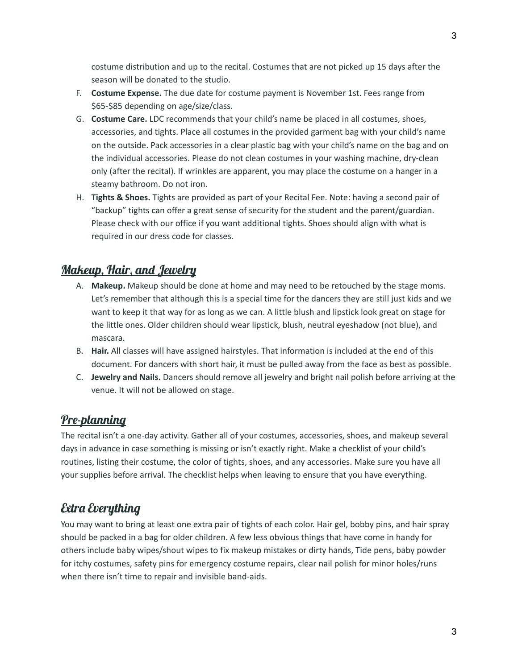costume distribution and up to the recital. Costumes that are not picked up 15 days after the season will be donated to the studio.

- F. **Costume Expense.** The due date for costume payment is November 1st. Fees range from \$65-\$85 depending on age/size/class.
- G. **Costume Care.** LDC recommends that your child's name be placed in all costumes, shoes, accessories, and tights. Place all costumes in the provided garment bag with your child's name on the outside. Pack accessories in a clear plastic bag with your child's name on the bag and on the individual accessories. Please do not clean costumes in your washing machine, dry-clean only (after the recital). If wrinkles are apparent, you may place the costume on a hanger in a steamy bathroom. Do not iron.
- H. **Tights & Shoes.** Tights are provided as part of your Recital Fee. Note: having a second pair of "backup" tights can offer a great sense of security for the student and the parent/guardian. Please check with our office if you want additional tights. Shoes should align with what is required in our dress code for classes.

## Makeup, Hair, and Jewelry

- A. **Makeup.** Makeup should be done at home and may need to be retouched by the stage moms. Let's remember that although this is a special time for the dancers they are still just kids and we want to keep it that way for as long as we can. A little blush and lipstick look great on stage for the little ones. Older children should wear lipstick, blush, neutral eyeshadow (not blue), and mascara.
- B. **Hair.** All classes will have assigned hairstyles. That information is included at the end of this document. For dancers with short hair, it must be pulled away from the face as best as possible.
- C. **Jewelry and Nails.** Dancers should remove all jewelry and bright nail polish before arriving at the venue. It will not be allowed on stage.

## Pre-planning

The recital isn't a one-day activity. Gather all of your costumes, accessories, shoes, and makeup several days in advance in case something is missing or isn't exactly right. Make a checklist of your child's routines, listing their costume, the color of tights, shoes, and any accessories. Make sure you have all your supplies before arrival. The checklist helps when leaving to ensure that you have everything.

## Extra Everything

You may want to bring at least one extra pair of tights of each color. Hair gel, bobby pins, and hair spray should be packed in a bag for older children. A few less obvious things that have come in handy for others include baby wipes/shout wipes to fix makeup mistakes or dirty hands, Tide pens, baby powder for itchy costumes, safety pins for emergency costume repairs, clear nail polish for minor holes/runs when there isn't time to repair and invisible band-aids.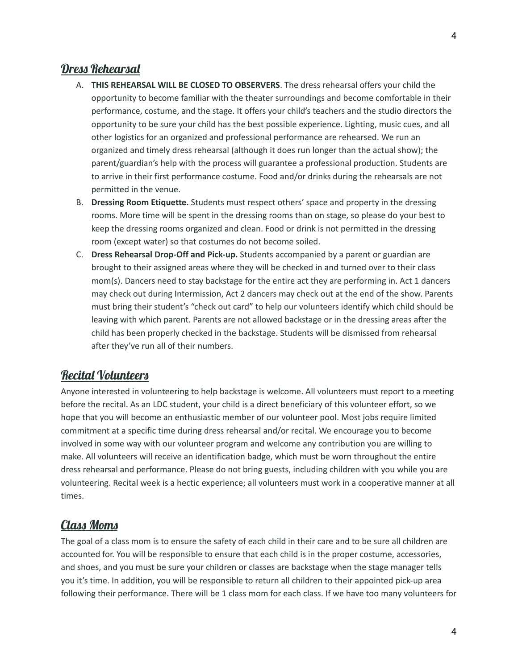#### Dress Rehearsal

- A. **THIS REHEARSAL WILL BE CLOSED TO OBSERVERS**. The dress rehearsal offers your child the opportunity to become familiar with the theater surroundings and become comfortable in their performance, costume, and the stage. It offers your child's teachers and the studio directors the opportunity to be sure your child has the best possible experience. Lighting, music cues, and all other logistics for an organized and professional performance are rehearsed. We run an organized and timely dress rehearsal (although it does run longer than the actual show); the parent/guardian's help with the process will guarantee a professional production. Students are to arrive in their first performance costume. Food and/or drinks during the rehearsals are not permitted in the venue.
- B. **Dressing Room Etiquette.** Students must respect others' space and property in the dressing rooms. More time will be spent in the dressing rooms than on stage, so please do your best to keep the dressing rooms organized and clean. Food or drink is not permitted in the dressing room (except water) so that costumes do not become soiled.
- C. **Dress Rehearsal Drop-Off and Pick-up.** Students accompanied by a parent or guardian are brought to their assigned areas where they will be checked in and turned over to their class mom(s). Dancers need to stay backstage for the entire act they are performing in. Act 1 dancers may check out during Intermission, Act 2 dancers may check out at the end of the show. Parents must bring their student's "check out card" to help our volunteers identify which child should be leaving with which parent. Parents are not allowed backstage or in the dressing areas after the child has been properly checked in the backstage. Students will be dismissed from rehearsal after they've run all of their numbers.

#### Recital Volunteers

Anyone interested in volunteering to help backstage is welcome. All volunteers must report to a meeting before the recital. As an LDC student, your child is a direct beneficiary of this volunteer effort, so we hope that you will become an enthusiastic member of our volunteer pool. Most jobs require limited commitment at a specific time during dress rehearsal and/or recital. We encourage you to become involved in some way with our volunteer program and welcome any contribution you are willing to make. All volunteers will receive an identification badge, which must be worn throughout the entire dress rehearsal and performance. Please do not bring guests, including children with you while you are volunteering. Recital week is a hectic experience; all volunteers must work in a cooperative manner at all times.

#### Class Moms

The goal of a class mom is to ensure the safety of each child in their care and to be sure all children are accounted for. You will be responsible to ensure that each child is in the proper costume, accessories, and shoes, and you must be sure your children or classes are backstage when the stage manager tells you it's time. In addition, you will be responsible to return all children to their appointed pick-up area following their performance. There will be 1 class mom for each class. If we have too many volunteers for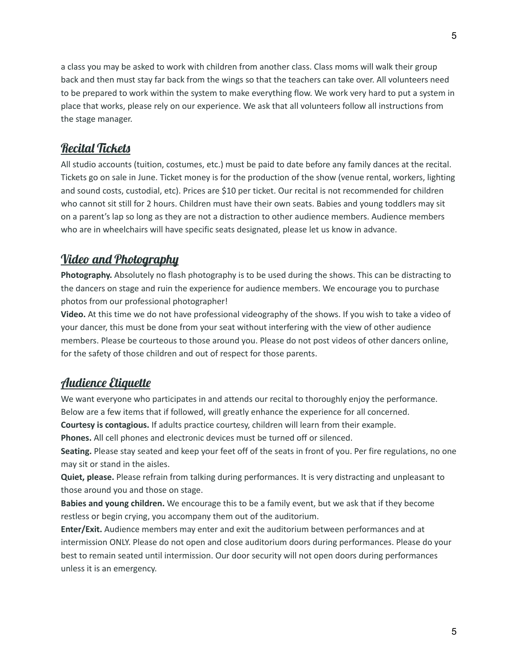a class you may be asked to work with children from another class. Class moms will walk their group back and then must stay far back from the wings so that the teachers can take over. All volunteers need to be prepared to work within the system to make everything flow. We work very hard to put a system in place that works, please rely on our experience. We ask that all volunteers follow all instructions from the stage manager.

#### Recital Tickets

All studio accounts (tuition, costumes, etc.) must be paid to date before any family dances at the recital. Tickets go on sale in June. Ticket money is for the production of the show (venue rental, workers, lighting and sound costs, custodial, etc). Prices are \$10 per ticket. Our recital is not recommended for children who cannot sit still for 2 hours. Children must have their own seats. Babies and young toddlers may sit on a parent's lap so long as they are not a distraction to other audience members. Audience members who are in wheelchairs will have specific seats designated, please let us know in advance.

## Video and Photography

**Photography.** Absolutely no flash photography is to be used during the shows. This can be distracting to the dancers on stage and ruin the experience for audience members. We encourage you to purchase photos from our professional photographer!

**Video.** At this time we do not have professional videography of the shows. If you wish to take a video of your dancer, this must be done from your seat without interfering with the view of other audience members. Please be courteous to those around you. Please do not post videos of other dancers online, for the safety of those children and out of respect for those parents.

#### Audience Etiquette

We want everyone who participates in and attends our recital to thoroughly enjoy the performance. Below are a few items that if followed, will greatly enhance the experience for all concerned.

**Courtesy is contagious.** If adults practice courtesy, children will learn from their example.

**Phones.** All cell phones and electronic devices must be turned off or silenced.

**Seating.** Please stay seated and keep your feet off of the seats in front of you. Per fire regulations, no one may sit or stand in the aisles.

**Quiet, please.** Please refrain from talking during performances. It is very distracting and unpleasant to those around you and those on stage.

**Babies and young children.** We encourage this to be a family event, but we ask that if they become restless or begin crying, you accompany them out of the auditorium.

**Enter/Exit.** Audience members may enter and exit the auditorium between performances and at intermission ONLY. Please do not open and close auditorium doors during performances. Please do your best to remain seated until intermission. Our door security will not open doors during performances unless it is an emergency.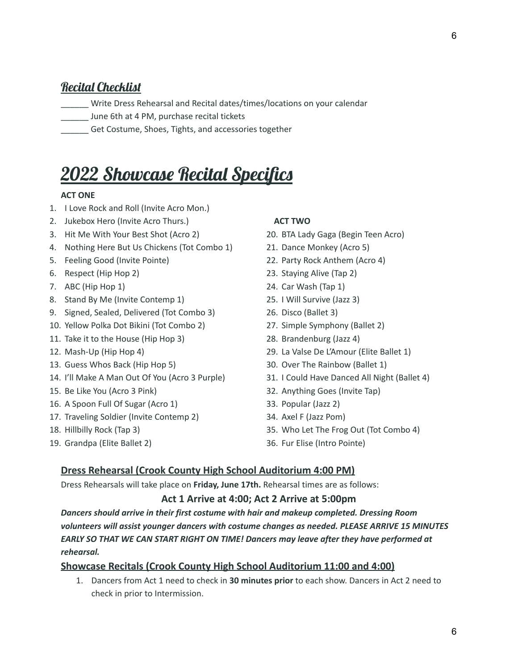#### Recital Checklist

- \_\_\_\_\_\_ Write Dress Rehearsal and Recital dates/times/locations on your calendar
- June 6th at 4 PM, purchase recital tickets
- \_\_\_\_\_\_ Get Costume, Shoes, Tights, and accessories together

## 2022 Showcase Recital Specifics

#### **ACT ONE**

- 1. I Love Rock and Roll (Invite Acro Mon.)
- 2. Jukebox Hero (Invite Acro Thurs.)
- 3. Hit Me With Your Best Shot (Acro 2)
- 4. Nothing Here But Us Chickens (Tot Combo 1)
- 5. Feeling Good (Invite Pointe)
- 6. Respect (Hip Hop 2)
- 7. ABC (Hip Hop 1)
- 8. Stand By Me (Invite Contemp 1)
- 9. Signed, Sealed, Delivered (Tot Combo 3)
- 10. Yellow Polka Dot Bikini (Tot Combo 2)
- 11. Take it to the House (Hip Hop 3)
- 12. Mash-Up (Hip Hop 4)
- 13. Guess Whos Back (Hip Hop 5)
- 14. I'll Make A Man Out Of You (Acro 3 Purple)
- 15. Be Like You (Acro 3 Pink)
- 16. A Spoon Full Of Sugar (Acro 1)
- 17. Traveling Soldier (Invite Contemp 2)
- 18. Hillbilly Rock (Tap 3)
- 19. Grandpa (Elite Ballet 2)

#### **ACT TWO**

- 20. BTA Lady Gaga (Begin Teen Acro)
- 21. Dance Monkey (Acro 5)
- 22. Party Rock Anthem (Acro 4)
- 23. Staying Alive (Tap 2)
- 24. Car Wash (Tap 1)
- 25. I Will Survive (Jazz 3)
- 26. Disco (Ballet 3)
- 27. Simple Symphony (Ballet 2)
- 28. Brandenburg (Jazz 4)
- 29. La Valse De L'Amour (Elite Ballet 1)
- 30. Over The Rainbow (Ballet 1)
- 31. I Could Have Danced All Night (Ballet 4)
- 32. Anything Goes (Invite Tap)
- 33. Popular (Jazz 2)
- 34. Axel F (Jazz Pom)
- 35. Who Let The Frog Out (Tot Combo 4)
- 36. Fur Elise (Intro Pointe)

#### **Dress Rehearsal (Crook County High School Auditorium 4:00 PM)**

Dress Rehearsals will take place on **Friday, June 17th.** Rehearsal times are as follows:

#### **Act 1 Arrive at 4:00; Act 2 Arrive at 5:00pm**

*Dancers should arrive in their first costume with hair and makeup completed. Dressing Room volunteers will assist younger dancers with costume changes as needed. PLEASE ARRIVE 15 MINUTES EARLY SO THAT WE CAN START RIGHT ON TIME! Dancers may leave after they have performed at rehearsal.*

#### **Showcase Recitals (Crook County High School Auditorium 11:00 and 4:00)**

1. Dancers from Act 1 need to check in **30 minutes prior** to each show. Dancers in Act 2 need to check in prior to Intermission.